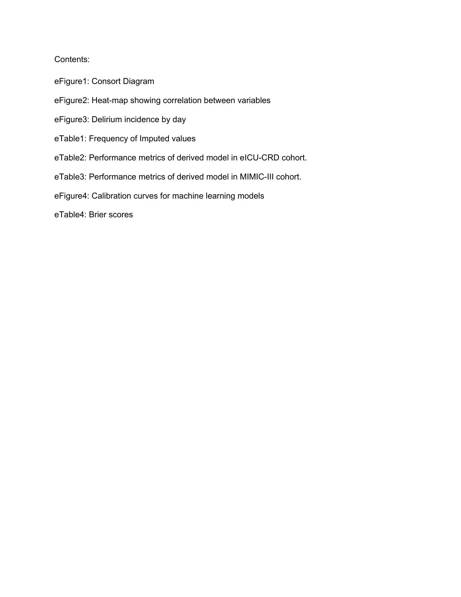### Contents:

- eFigure1: Consort Diagram
- eFigure2: Heat-map showing correlation between variables
- eFigure3: Delirium incidence by day
- eTable1: Frequency of Imputed values
- eTable2: Performance metrics of derived model in eICU-CRD cohort.
- eTable3: Performance metrics of derived model in MIMIC-III cohort.
- eFigure4: Calibration curves for machine learning models

eTable4: Brier scores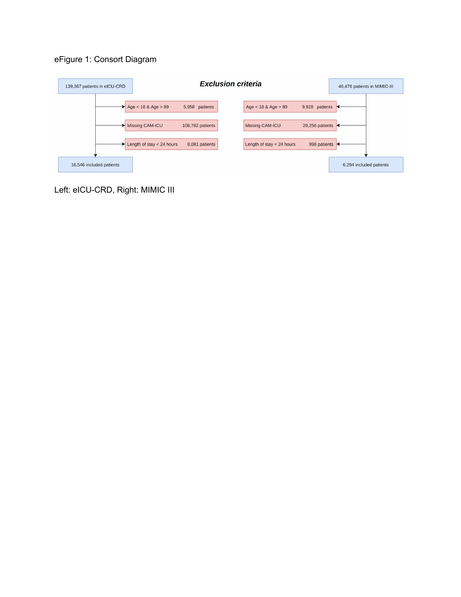# eFigure 1: Consort Diagram



Left: eICU-CRD, Right: MIMIC III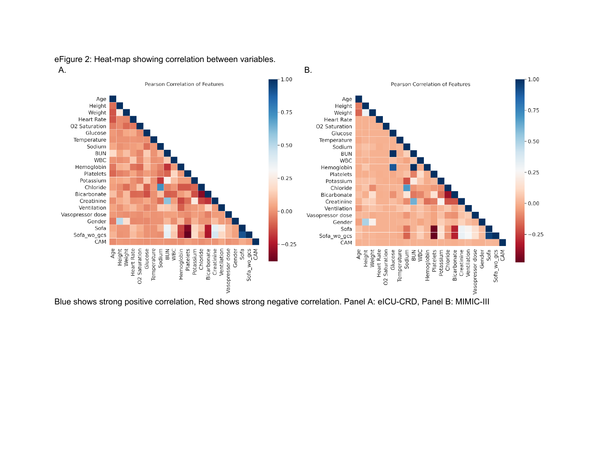eFigure 2: Heat-map showing correlation between variables.



Blue shows strong positive correlation, Red shows strong negative correlation. Panel A: eICU-CRD, Panel B: MIMIC-III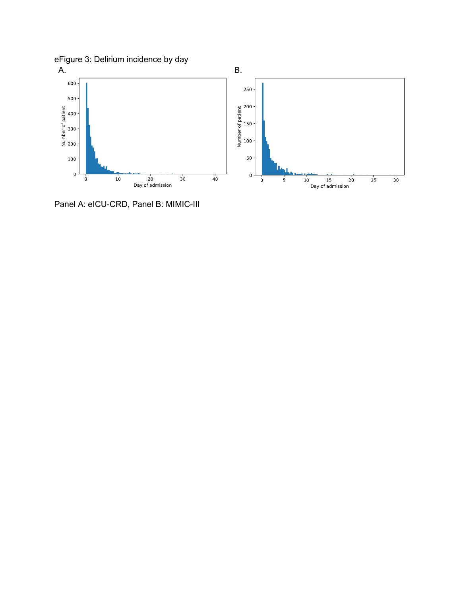

Panel A: eICU-CRD, Panel B: MIMIC-III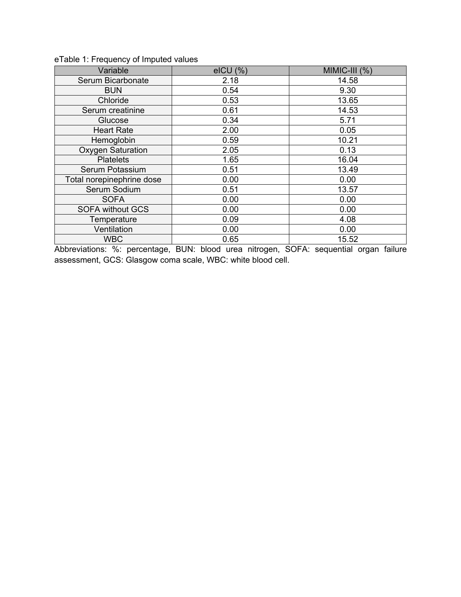| Variable                  | $eICU$ $(\%)$ | $MIMIC-HI$ $(\%)$ |
|---------------------------|---------------|-------------------|
| Serum Bicarbonate         | 2.18          | 14.58             |
| <b>BUN</b>                | 0.54          | 9.30              |
| Chloride                  | 0.53          | 13.65             |
| Serum creatinine          | 0.61          | 14.53             |
| Glucose                   | 0.34          | 5.71              |
| <b>Heart Rate</b>         | 2.00          | 0.05              |
| Hemoglobin                | 0.59          | 10.21             |
| <b>Oxygen Saturation</b>  | 2.05          | 0.13              |
| <b>Platelets</b>          | 1.65          | 16.04             |
| Serum Potassium           | 0.51          | 13.49             |
| Total norepinephrine dose | 0.00          | 0.00              |
| Serum Sodium              | 0.51          | 13.57             |
| <b>SOFA</b>               | 0.00          | 0.00              |
| <b>SOFA without GCS</b>   | 0.00          | 0.00              |
| Temperature               | 0.09          | 4.08              |
| Ventilation               | 0.00          | 0.00              |
| <b>WBC</b>                | 0.65          | 15.52             |

# eTable 1: Frequency of Imputed values

Abbreviations: %: percentage, BUN: blood urea nitrogen, SOFA: sequential organ failure assessment, GCS: Glasgow coma scale, WBC: white blood cell.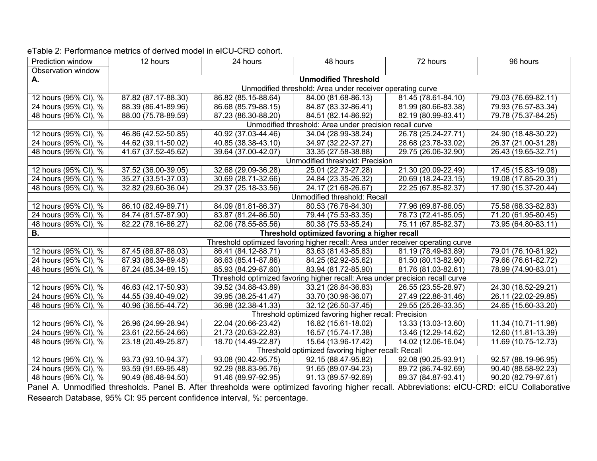| Prediction window    | 12 hours                                                                      | 24 hours            | 48 hours                                                                        | 72 hours                         | 96 hours                                                                                                                                                      |
|----------------------|-------------------------------------------------------------------------------|---------------------|---------------------------------------------------------------------------------|----------------------------------|---------------------------------------------------------------------------------------------------------------------------------------------------------------|
| Observation window   |                                                                               |                     |                                                                                 |                                  |                                                                                                                                                               |
| А.                   |                                                                               |                     | <b>Unmodified Threshold</b>                                                     |                                  |                                                                                                                                                               |
|                      |                                                                               |                     | Unmodified threshold: Area under receiver operating curve                       |                                  |                                                                                                                                                               |
| 12 hours (95% CI), % | 87.82 (87.17-88.30)                                                           | 86.82 (85.15-88.64) | 84.00 (81.68-86.13)                                                             | 81.45 (78.61-84.10)              | 79.03 (76.69-82.11)                                                                                                                                           |
| 24 hours (95% CI), % | 88.39 (86.41-89.96)                                                           | 86.68 (85.79-88.15) | 84.87 (83.32-86.41)                                                             | 81.99 (80.66-83.38)              | 79.93 (76.57-83.34)                                                                                                                                           |
| 48 hours (95% CI), % | 88.00 (75.78-89.59)                                                           | 87.23 (86.30-88.20) | 84.51 (82.14-86.92)                                                             | 82.19 (80.99-83.41)              | 79.78 (75.37-84.25)                                                                                                                                           |
|                      |                                                                               |                     | Unmodified threshold: Area under precision recall curve                         |                                  |                                                                                                                                                               |
| 12 hours (95% CI), % | 46.86 (42.52-50.85)                                                           | 40.92 (37.03-44.46) | 34.04 (28.99-38.24)                                                             | 26.78 (25.24-27.71)              | 24.90 (18.48-30.22)                                                                                                                                           |
| 24 hours (95% CI), % | 44.62 (39.11-50.02)                                                           | 40.85 (38.38-43.10) | 34.97 (32.22-37.27)                                                             | 28.68 (23.78-33.02)              | $\overline{26.37}$ (21.00-31.28)                                                                                                                              |
| 48 hours (95% CI), % | 41.67 (37.52-45.62)                                                           | 39.64 (37.00-42.07) | 33.35 (27.58-38.88)                                                             | 29.75 (26.06-32.90)              | 26.43 (19.65-32.71)                                                                                                                                           |
|                      |                                                                               |                     | Unmodified threshold: Precision                                                 |                                  |                                                                                                                                                               |
| 12 hours (95% CI), % | 37.52 (36.00-39.05)                                                           | 32.68 (29.09-36.28) | 25.01 (22.73-27.28)                                                             | 21.30 (20.09-22.49)              | 17.45 (15.83-19.08)                                                                                                                                           |
| 24 hours (95% CI), % | 35.27 (33.51-37.03)                                                           | 30.69 (28.71-32.66) | 24.84 (23.35-26.32)                                                             | 20.69 (18.24-23.15)              | 19.08 (17.85-20.31)                                                                                                                                           |
| 48 hours (95% CI), % | 32.82 (29.60-36.04)                                                           | 29.37 (25.18-33.56) | 24.17 (21.68-26.67)                                                             | 22.25 (67.85-82.37)              | 17.90 (15.37-20.44)                                                                                                                                           |
|                      | Unmodified threshold: Recall                                                  |                     |                                                                                 |                                  |                                                                                                                                                               |
| 12 hours (95% CI), % | 86.10 (82.49-89.71)                                                           | 84.09 (81.81-86.37) | 80.53 (76.76-84.30)                                                             | 77.96 (69.87-86.05)              | 75.58 (68.33-82.83)                                                                                                                                           |
| 24 hours (95% CI), % | 84.74 (81.57-87.90)                                                           | 83.87 (81.24-86.50) | 79.44 (75.53-83.35)                                                             | 78.73 (72.41-85.05)              | 71.20 (61.95-80.45)                                                                                                                                           |
| 48 hours (95% CI), % | 82.22 (78.16-86.27)                                                           | 82.06 (78.55-85.56) | 80.38 (75.53-85.24)                                                             | 75.11 (67.85-82.37)              | 73.95 (64.80-83.11)                                                                                                                                           |
| В.                   |                                                                               |                     | Threshold optimized favoring a higher recall                                    |                                  |                                                                                                                                                               |
|                      |                                                                               |                     | Threshold optimized favoring higher recall: Area under receiver operating curve |                                  |                                                                                                                                                               |
| 12 hours (95% CI), % | 87.45 (86.87-88.03)                                                           | 86.41 (84.12-88.71) | 83.63 (81.43-85.83)                                                             | 81.19 (78.49-83.89)              | 79.01 (76.10-81.92)                                                                                                                                           |
| 24 hours (95% CI), % | 87.93 (86.39-89.48)                                                           | 86.63 (85.41-87.86) | 84.25 (82.92-85.62)                                                             | 81.50 (80.13-82.90)              | 79.66 (76.61-82.72)                                                                                                                                           |
| 48 hours (95% CI), % | 87.24 (85.34-89.15)                                                           | 85.93 (84.29-87.60) | 83.94 (81.72-85.90)                                                             | 81.76 (81.03-82.61)              | 78.99 (74.90-83.01)                                                                                                                                           |
|                      | Threshold optimized favoring higher recall: Area under precision recall curve |                     |                                                                                 |                                  |                                                                                                                                                               |
| 12 hours (95% CI), % | 46.63 (42.17-50.93)                                                           | 39.52 (34.88-43.89) | 33.21 (28.84-36.83)                                                             | 26.55 (23.55-28.97)              | 24.30 (18.52-29.21)                                                                                                                                           |
| 24 hours (95% CI), % | 44.55 (39.40-49.02)                                                           | 39.95 (38.25-41.47) | 33.70 (30.96-36.07)                                                             | 27.49 (22.86-31.46)              | 26.11 (22.02-29.85)                                                                                                                                           |
| 48 hours (95% CI), % | 40.96 (36.55-44.72)                                                           | 36.98 (32.38-41.33) | 32.12 (26.50-37.45)                                                             | 29.55 (25.26-33.35)              | 24.65 (15.60-33.20)                                                                                                                                           |
|                      | Threshold optimized favoring higher recall: Precision                         |                     |                                                                                 |                                  |                                                                                                                                                               |
| 12 hours (95% CI), % | 26.96 (24.99-28.94)                                                           | 22.04 (20.66-23.42) | 16.82 (15.61-18.02)                                                             | 13.33 (13.03-13.60)              | 11.34 (10.71-11.98)                                                                                                                                           |
| 24 hours (95% CI), % | 23.61 (22.55-24.66)                                                           | 21.73 (20.63-22.83) | 16.57 (15.74-17.38)                                                             | 13.46 (12.29-14.62)              | 12.60 (11.81-13.39)                                                                                                                                           |
| 48 hours (95% CI), % | 23.18 (20.49-25.87)                                                           | 18.70 (14.49-22.87) | 15.64 (13.96-17.42)                                                             | $\overline{14.02}$ (12.06-16.04) | 11.69 (10.75-12.73)                                                                                                                                           |
|                      | Threshold optimized favoring higher recall: Recall                            |                     |                                                                                 |                                  |                                                                                                                                                               |
| 12 hours (95% CI), % | 93.73 (93.10-94.37)                                                           | 93.08 (90.42-95.75) | 92.15 (88.47-95.82)                                                             | 92.08 (90.25-93.91)              | 92.57 (88.19-96.95)                                                                                                                                           |
| 24 hours (95% CI), % | 93.59 (91.69-95.48)                                                           | 92.29 (88.83-95.76) | 91.65 (89.07-94.23)                                                             | 89.72 (86.74-92.69)              | $\overline{90.40}$ (88.58-92.23)                                                                                                                              |
| 48 hours (95% CI), % | 90.49 (86.48-94.50)                                                           | 91.46 (89.97-92.95) | 91.13 (89.57-92.69)                                                             | 89.37 (84.87-93.41)              | 90.20 (82.79-97.61)<br>Read A. Unmedified thresholds. Read R. After thresholds were entimized fouring higher read Abbroviotions: sICU CDD: sICU Colleborative |

## eTable 2: Performance metrics of derived model in eICU-CRD cohort.

Panel A. Unmodified thresholds. Panel B. After thresholds were optimized favoring higher recall. Abbreviations: eICU-CRD: eICU Collaborative Research Database, 95% CI: 95 percent confidence interval, %: percentage.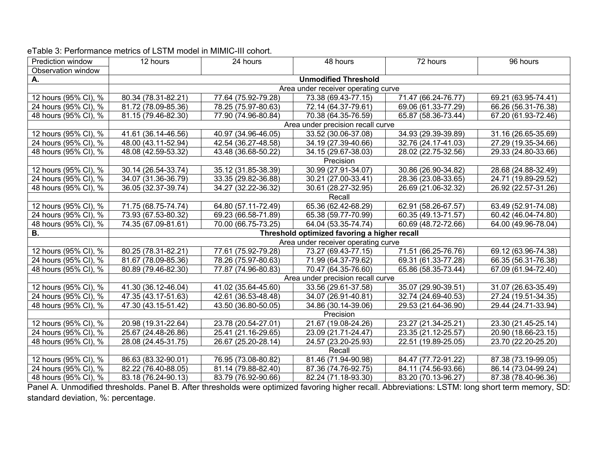| Prediction window                | 12 hours                          | 24 hours                            | 48 hours                                     | 72 hours                         | 96 hours                         |  |
|----------------------------------|-----------------------------------|-------------------------------------|----------------------------------------------|----------------------------------|----------------------------------|--|
| Observation window               |                                   |                                     |                                              |                                  |                                  |  |
| А.                               |                                   | <b>Unmodified Threshold</b>         |                                              |                                  |                                  |  |
|                                  |                                   | Area under receiver operating curve |                                              |                                  |                                  |  |
| 12 hours (95% CI), %             | 80.34 (78.31-82.21)               | 77.64 (75.92-79.28)                 | 73.38 (69.43-77.15)                          | 71.47 (66.24-76.77)              | 69.21 (63.95-74.41)              |  |
| 24 hours (95% CI), %             | 81.72 (78.09-85.36)               | 78.25 (75.97-80.63)                 | 72.14 (64.37-79.61)                          | 69.06 (61.33-77.29)              | 66.26 (56.31-76.38)              |  |
| 48 hours (95% CI), %             | 81.15 (79.46-82.30)               | 77.90 (74.96-80.84)                 | 70.38 (64.35-76.59)                          | 65.87 (58.36-73.44)              | 67.20 (61.93-72.46)              |  |
|                                  |                                   |                                     | Area under precision recall curve            |                                  |                                  |  |
| 12 hours (95% CI), %             | 41.61 (36.14-46.56)               | 40.97 (34.96-46.05)                 | 33.52 (30.06-37.08)                          | 34.93 (29.39-39.89)              | 31.16 (26.65-35.69)              |  |
| 24 hours (95% CI), %             | 48.00 (43.11-52.94)               | 42.54 (36.27-48.58)                 | $\overline{34.19}$ (27.39-40.66)             | 32.76 (24.17-41.03)              | 27.29 (19.35-34.66)              |  |
| 48 hours (95% CI), %             | 48.08 (42.59-53.32)               | 43.48 (36.68-50.22)                 | 34.15 (29.67-38.03)                          | 28.02 (22.75-32.56)              | 29.33 (24.80-33.66)              |  |
|                                  |                                   |                                     | Precision                                    |                                  |                                  |  |
| 12 hours (95% CI), %             | 30.14 (26.54-33.74)               | 35.12 (31.85-38.39)                 | 30.99 (27.91-34.07)                          | 30.86 (26.90-34.82)              | 28.68 (24.88-32.49)              |  |
| 24 hours (95% CI), %             | 34.07 (31.36-36.79)               | 33.35 (29.82-36.88)                 | $\overline{30.21}$ (27.00-33.41)             | 28.36 (23.08-33.65)              | 24.71 (19.89-29.52)              |  |
| 48 hours (95% CI), %             | 36.05 (32.37-39.74)               | 34.27 (32.22-36.32)                 | 30.61 (28.27-32.95)                          | 26.69 (21.06-32.32)              | 26.92 (22.57-31.26)              |  |
|                                  |                                   |                                     | Recall                                       |                                  |                                  |  |
| 12 hours (95% CI), %             | 71.75 (68.75-74.74)               | 64.80 (57.11-72.49)                 | 65.36 (62.42-68.29)                          | 62.91 (58.26-67.57)              | 63.49 (52.91-74.08)              |  |
| 24 hours (95% CI), %             | 73.93 (67.53-80.32)               | 69.23 (66.58-71.89)                 | 65.38 (59.77-70.99)                          | 60.35 (49.13-71.57)              | $\overline{60.42}$ (46.04-74.80) |  |
| 48 hours (95% CI), %             | 74.35 (67.09-81.61)               | 70.00 (66.75-73.25)                 | 64.04 (53.35-74.74)                          | $\overline{60.69}$ (48.72-72.66) | 64.00 (49.96-78.04)              |  |
| <b>B.</b>                        |                                   |                                     | Threshold optimized favoring a higher recall |                                  |                                  |  |
|                                  |                                   |                                     | Area under receiver operating curve          |                                  |                                  |  |
| 12 hours (95% CI), %             | 80.25 (78.31-82.21)               | 77.61 (75.92-79.28)                 | 73.27 (69.43-77.15)                          | 71.51 (66.25-76.76)              | 69.12 (63.96-74.38)              |  |
| 24 hours (95% CI), %             | 81.67 (78.09-85.36)               | 78.26 (75.97-80.63)                 | 71.99 (64.37-79.62)                          | 69.31 (61.33-77.28)              | 66.35 (56.31-76.38)              |  |
| 48 hours (95% CI), %             | 80.89 (79.46-82.30)               | 77.87 (74.96-80.83)                 | 70.47 (64.35-76.60)                          | 65.86 (58.35-73.44)              | 67.09 (61.94-72.40)              |  |
|                                  | Area under precision recall curve |                                     |                                              |                                  |                                  |  |
| 12 hours (95% CI), %             | 41.30 (36.12-46.04)               | 41.02 (35.64-45.60)                 | 33.56 (29.61-37.58)                          | 35.07 (29.90-39.51)              | 31.07 (26.63-35.49)              |  |
| 24 hours (95% CI), %             | 47.35 (43.17-51.63)               | 42.61 (36.53-48.48)                 | 34.07 (26.91-40.81)                          | 32.74 (24.69-40.53)              | 27.24 (19.51-34.35)              |  |
| 48 hours (95% CI), %             | 47.30 (43.15-51.42)               | 43.50 (36.80-50.05)                 | 34.86 (30.14-39.06)                          | 29.53 (21.64-36.90)              | 29.44 (24.71-33.94)              |  |
|                                  | Precision                         |                                     |                                              |                                  |                                  |  |
| 12 hours (95% CI), %             | 20.98 (19.31-22.64)               | 23.78 (20.54-27.01)                 | 21.67 (19.08-24.26)                          | 23.27 (21.34-25.21)              | 23.30 (21.45-25.14)              |  |
| 24 hours (95% CI), %             | 25.67 (24.48-26.86)               | 25.41 (21.16-29.65)                 | 23.09 (21.71-24.47)                          | 23.35 (21.12-25.57)              | 20.90 (18.66-23.15)              |  |
| 48 hours (95% CI), %             | 28.08 (24.45-31.75)               | 26.67 (25.20-28.14)                 | 24.57 (23.20-25.93)                          | $22.51(19.89-25.05)$             | 23.70 (22.20-25.20)              |  |
|                                  | Recall                            |                                     |                                              |                                  |                                  |  |
| 12 hours (95% CI), %             | 86.63 (83.32-90.01)               | 76.95 (73.08-80.82)                 | 81.46 (71.94-90.98)                          | 84.47 (77.72-91.22)              | 87.38 (73.19-99.05)              |  |
| 24 hours (95% CI), %             | 82.22 (76.40-88.05)               | 81.14 (79.88-82.40)                 | 87.36 (74.76-92.75)                          | 84.11 (74.56-93.66)              | 86.14 (73.04-99.24)              |  |
| 48 hours (95% CI), %<br>$\cdots$ | 83.18 (76.24-90.13)               | 83.79 (76.92-90.66)                 | 82.24 (71.18-93.30)                          | 83.20 (70.13-96.27)              | 87.38 (78.40-96.36)              |  |

### eTable 3: Performance metrics of LSTM model in MIMIC-III cohort.

Panel A. Unmodified thresholds. Panel B. After thresholds were optimized favoring higher recall. Abbreviations: LSTM: long short term memory, SD: standard deviation, %: percentage.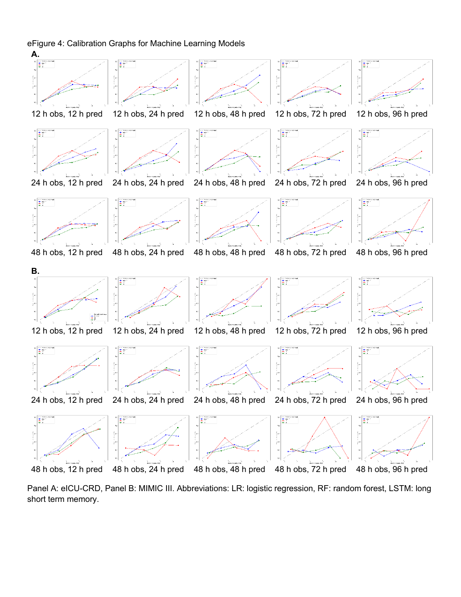#### eFigure 4: Calibration Graphs for Machine Learning Models



Panel A: eICU-CRD, Panel B: MIMIC III. Abbreviations: LR: logistic regression, RF: random forest, LSTM: long short term memory.